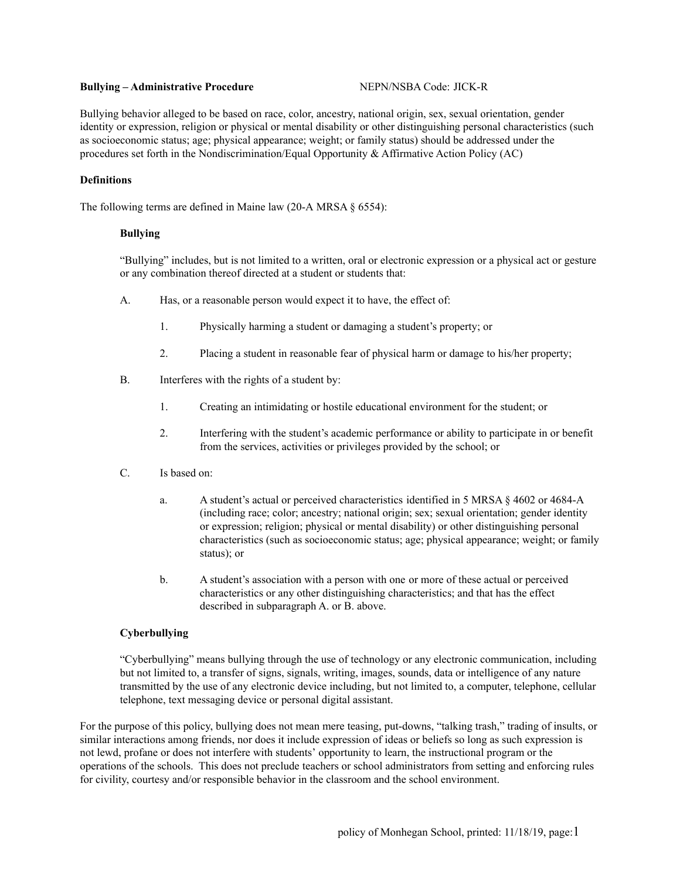#### **Bullying – Administrative Procedure** NEPN/NSBA Code: JICK-R

Bullying behavior alleged to be based on race, color, ancestry, national origin, sex, sexual orientation, gender identity or expression, religion or physical or mental disability or other distinguishing personal characteristics (such as socioeconomic status; age; physical appearance; weight; or family status) should be addressed under the procedures set forth in the Nondiscrimination/Equal Opportunity & Affirmative Action Policy (AC)

# **Definitions**

The following terms are defined in Maine law (20-A MRSA § 6554):

# **Bullying**

"Bullying" includes, but is not limited to a written, oral or electronic expression or a physical act or gesture or any combination thereof directed at a student or students that:

- A. Has, or a reasonable person would expect it to have, the effect of:
	- 1. Physically harming a student or damaging a student's property; or
	- 2. Placing a student in reasonable fear of physical harm or damage to his/her property;
- B. Interferes with the rights of a student by:
	- 1. Creating an intimidating or hostile educational environment for the student; or
	- 2. Interfering with the student's academic performance or ability to participate in or benefit from the services, activities or privileges provided by the school; or
- C. Is based on:
	- a. A student's actual or perceived characteristics identified in 5 MRSA § 4602 or 4684-A (including race; color; ancestry; national origin; sex; sexual orientation; gender identity or expression; religion; physical or mental disability) or other distinguishing personal characteristics (such as socioeconomic status; age; physical appearance; weight; or family status); or
	- b. A student's association with a person with one or more of these actual or perceived characteristics or any other distinguishing characteristics; and that has the effect described in subparagraph A. or B. above.

# **Cyberbullying**

"Cyberbullying" means bullying through the use of technology or any electronic communication, including but not limited to, a transfer of signs, signals, writing, images, sounds, data or intelligence of any nature transmitted by the use of any electronic device including, but not limited to, a computer, telephone, cellular telephone, text messaging device or personal digital assistant.

For the purpose of this policy, bullying does not mean mere teasing, put-downs, "talking trash," trading of insults, or similar interactions among friends, nor does it include expression of ideas or beliefs so long as such expression is not lewd, profane or does not interfere with students' opportunity to learn, the instructional program or the operations of the schools. This does not preclude teachers or school administrators from setting and enforcing rules for civility, courtesy and/or responsible behavior in the classroom and the school environment.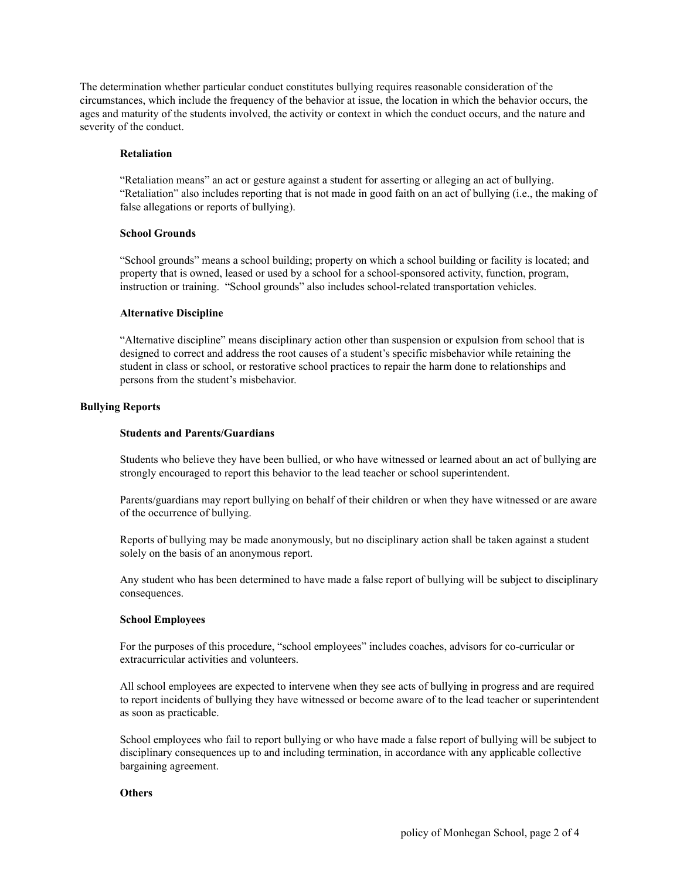The determination whether particular conduct constitutes bullying requires reasonable consideration of the circumstances, which include the frequency of the behavior at issue, the location in which the behavior occurs, the ages and maturity of the students involved, the activity or context in which the conduct occurs, and the nature and severity of the conduct.

## **Retaliation**

"Retaliation means" an act or gesture against a student for asserting or alleging an act of bullying. "Retaliation" also includes reporting that is not made in good faith on an act of bullying (i.e., the making of false allegations or reports of bullying).

## **School Grounds**

"School grounds" means a school building; property on which a school building or facility is located; and property that is owned, leased or used by a school for a school-sponsored activity, function, program, instruction or training. "School grounds" also includes school-related transportation vehicles.

## **Alternative Discipline**

"Alternative discipline" means disciplinary action other than suspension or expulsion from school that is designed to correct and address the root causes of a student's specific misbehavior while retaining the student in class or school, or restorative school practices to repair the harm done to relationships and persons from the student's misbehavior.

## **Bullying Reports**

## **Students and Parents/Guardians**

Students who believe they have been bullied, or who have witnessed or learned about an act of bullying are strongly encouraged to report this behavior to the lead teacher or school superintendent.

Parents/guardians may report bullying on behalf of their children or when they have witnessed or are aware of the occurrence of bullying.

Reports of bullying may be made anonymously, but no disciplinary action shall be taken against a student solely on the basis of an anonymous report.

Any student who has been determined to have made a false report of bullying will be subject to disciplinary consequences.

# **School Employees**

For the purposes of this procedure, "school employees" includes coaches, advisors for co-curricular or extracurricular activities and volunteers.

All school employees are expected to intervene when they see acts of bullying in progress and are required to report incidents of bullying they have witnessed or become aware of to the lead teacher or superintendent as soon as practicable.

School employees who fail to report bullying or who have made a false report of bullying will be subject to disciplinary consequences up to and including termination, in accordance with any applicable collective bargaining agreement.

# **Others**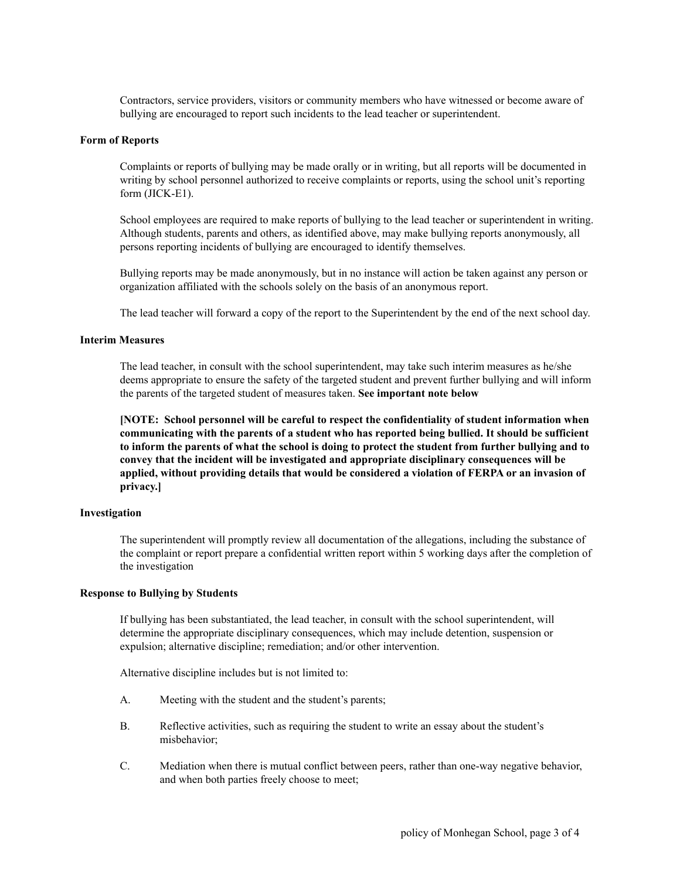Contractors, service providers, visitors or community members who have witnessed or become aware of bullying are encouraged to report such incidents to the lead teacher or superintendent.

# **Form of Reports**

Complaints or reports of bullying may be made orally or in writing, but all reports will be documented in writing by school personnel authorized to receive complaints or reports, using the school unit's reporting form (JICK-E1).

School employees are required to make reports of bullying to the lead teacher or superintendent in writing. Although students, parents and others, as identified above, may make bullying reports anonymously, all persons reporting incidents of bullying are encouraged to identify themselves.

Bullying reports may be made anonymously, but in no instance will action be taken against any person or organization affiliated with the schools solely on the basis of an anonymous report.

The lead teacher will forward a copy of the report to the Superintendent by the end of the next school day.

#### **Interim Measures**

The lead teacher, in consult with the school superintendent, may take such interim measures as he/she deems appropriate to ensure the safety of the targeted student and prevent further bullying and will inform the parents of the targeted student of measures taken. **See important note below**

**[NOTE: School personnel will be careful to respect the confidentiality of student information when communicating with the parents of a student who has reported being bullied. It should be sufficient** to inform the parents of what the school is doing to protect the student from further bullying and to **convey that the incident will be investigated and appropriate disciplinary consequences will be applied, without providing details that would be considered a violation of FERPA or an invasion of privacy.]**

# **Investigation**

The superintendent will promptly review all documentation of the allegations, including the substance of the complaint or report prepare a confidential written report within 5 working days after the completion of the investigation

## **Response to Bullying by Students**

If bullying has been substantiated, the lead teacher, in consult with the school superintendent, will determine the appropriate disciplinary consequences, which may include detention, suspension or expulsion; alternative discipline; remediation; and/or other intervention.

Alternative discipline includes but is not limited to:

- A. Meeting with the student and the student's parents;
- B. Reflective activities, such as requiring the student to write an essay about the student's misbehavior;
- C. Mediation when there is mutual conflict between peers, rather than one-way negative behavior, and when both parties freely choose to meet;